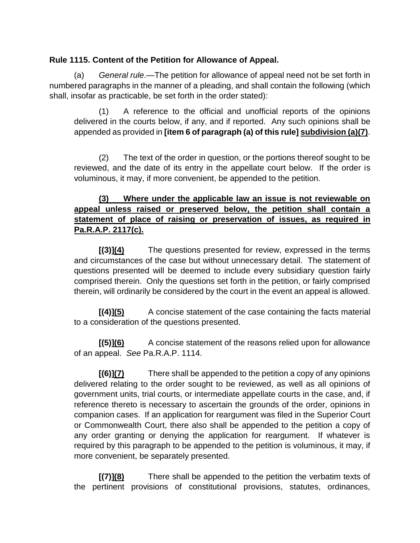## **Rule 1115. Content of the Petition for Allowance of Appeal.**

(a) *General rule*.—The petition for allowance of appeal need not be set forth in numbered paragraphs in the manner of a pleading, and shall contain the following (which shall, insofar as practicable, be set forth in the order stated):

(1) A reference to the official and unofficial reports of the opinions delivered in the courts below, if any, and if reported. Any such opinions shall be appended as provided in **[item 6 of paragraph (a) of this rule] subdivision (a)(7)**.

(2) The text of the order in question, or the portions thereof sought to be reviewed, and the date of its entry in the appellate court below. If the order is voluminous, it may, if more convenient, be appended to the petition.

## **(3) Where under the applicable law an issue is not reviewable on appeal unless raised or preserved below, the petition shall contain a statement of place of raising or preservation of issues, as required in Pa.R.A.P. 2117(c).**

**[(3)](4)** The questions presented for review, expressed in the terms and circumstances of the case but without unnecessary detail. The statement of questions presented will be deemed to include every subsidiary question fairly comprised therein. Only the questions set forth in the petition, or fairly comprised therein, will ordinarily be considered by the court in the event an appeal is allowed.

**[(4)](5)** A concise statement of the case containing the facts material to a consideration of the questions presented.

**[(5)](6)** A concise statement of the reasons relied upon for allowance of an appeal. *See* Pa.R.A.P. 1114.

**[(6)](7)** There shall be appended to the petition a copy of any opinions delivered relating to the order sought to be reviewed, as well as all opinions of government units, trial courts, or intermediate appellate courts in the case, and, if reference thereto is necessary to ascertain the grounds of the order, opinions in companion cases. If an application for reargument was filed in the Superior Court or Commonwealth Court, there also shall be appended to the petition a copy of any order granting or denying the application for reargument. If whatever is required by this paragraph to be appended to the petition is voluminous, it may, if more convenient, be separately presented.

**[(7)](8)** There shall be appended to the petition the verbatim texts of the pertinent provisions of constitutional provisions, statutes, ordinances,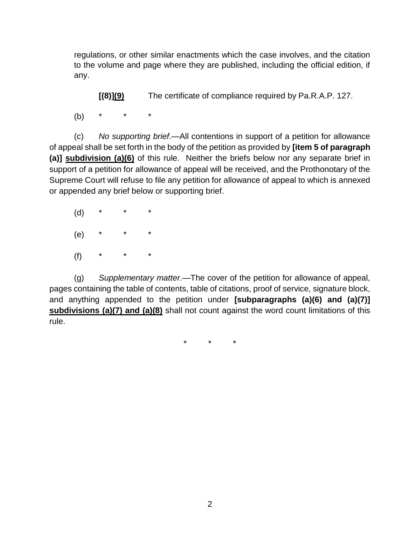regulations, or other similar enactments which the case involves, and the citation to the volume and page where they are published, including the official edition, if any.

**[(8)](9)** The certificate of compliance required by Pa.R.A.P. 127.

(b) \* \* \*

(c) *No supporting brief*.—All contentions in support of a petition for allowance of appeal shall be set forth in the body of the petition as provided by **[item 5 of paragraph (a)] subdivision (a)(6)** of this rule. Neither the briefs below nor any separate brief in support of a petition for allowance of appeal will be received, and the Prothonotary of the Supreme Court will refuse to file any petition for allowance of appeal to which is annexed or appended any brief below or supporting brief.

 $(d)$  $(e)$ (f) \* \* \*

(g) *Supplementary matter*.—The cover of the petition for allowance of appeal, pages containing the table of contents, table of citations, proof of service, signature block, and anything appended to the petition under **[subparagraphs (a)(6) and (a)(7)] subdivisions (a)(7) and (a)(8)** shall not count against the word count limitations of this rule.

\* \* \*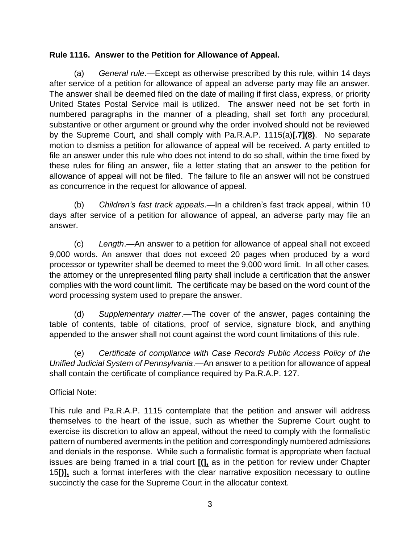## **Rule 1116. Answer to the Petition for Allowance of Appeal.**

(a) *General rule*.—Except as otherwise prescribed by this rule, within 14 days after service of a petition for allowance of appeal an adverse party may file an answer. The answer shall be deemed filed on the date of mailing if first class, express, or priority United States Postal Service mail is utilized. The answer need not be set forth in numbered paragraphs in the manner of a pleading, shall set forth any procedural, substantive or other argument or ground why the order involved should not be reviewed by the Supreme Court, and shall comply with Pa.R.A.P. 1115(a)**[.7](8)**. No separate motion to dismiss a petition for allowance of appeal will be received. A party entitled to file an answer under this rule who does not intend to do so shall, within the time fixed by these rules for filing an answer, file a letter stating that an answer to the petition for allowance of appeal will not be filed. The failure to file an answer will not be construed as concurrence in the request for allowance of appeal.

(b) *Children's fast track appeals*.—In a children's fast track appeal, within 10 days after service of a petition for allowance of appeal, an adverse party may file an answer.

(c) *Length*.—An answer to a petition for allowance of appeal shall not exceed 9,000 words. An answer that does not exceed 20 pages when produced by a word processor or typewriter shall be deemed to meet the 9,000 word limit. In all other cases, the attorney or the unrepresented filing party shall include a certification that the answer complies with the word count limit. The certificate may be based on the word count of the word processing system used to prepare the answer.

(d) *Supplementary matter*.—The cover of the answer, pages containing the table of contents, table of citations, proof of service, signature block, and anything appended to the answer shall not count against the word count limitations of this rule.

(e) *Certificate of compliance with Case Records Public Access Policy of the Unified Judicial System of Pennsylvania*.—An answer to a petition for allowance of appeal shall contain the certificate of compliance required by Pa.R.A.P. 127.

## Official Note:

This rule and Pa.R.A.P. 1115 contemplate that the petition and answer will address themselves to the heart of the issue, such as whether the Supreme Court ought to exercise its discretion to allow an appeal, without the need to comply with the formalistic pattern of numbered averments in the petition and correspondingly numbered admissions and denials in the response. While such a formalistic format is appropriate when factual issues are being framed in a trial court **[(],** as in the petition for review under Chapter 15**[)],** such a format interferes with the clear narrative exposition necessary to outline succinctly the case for the Supreme Court in the allocatur context.